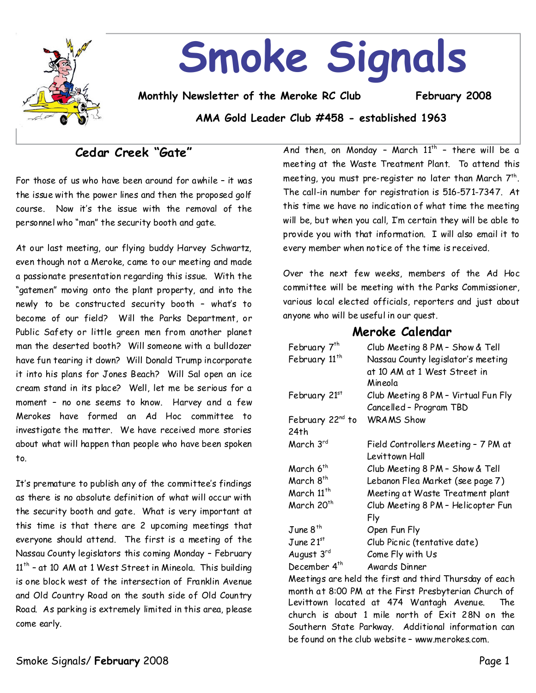

# **Smoke Signals**

**Monthly Newsletter of the Meroke RC Club February 2008**

**AMA Gold Leader Club #458 - established 1963**

# **Cedar Creek "Gate"**

For those of us who have been around for awhile–it was the issue with the power lines and then the proposed golf course. Now it's the issue with the removal of the personnel who "man" the security booth and gate.

At our last meeting, our flying buddy Harvey Schwartz, even though not a Meroke, came to our meeting and made a passionate presentation regarding this issue. With the "gatemen" moving onto the plant property, and into the newly to be constructed security booth – what's to become of our field? Will the Parks Department, or Public Safety or little green men from another planet man the deserted booth? Will someone with a bulldozer have fun tearing it down? Will Donald Trump incorporate it into his plans for Jones Beach? Will Sal open an ice cream stand in its place? Well, let me be serious for a moment - no one seems to know. Harvey and a few Merokes have formed an Ad Hoc committee to investigate the matter. We have received more stories about what will happen than people who have been spoken to.

It's premature to publish any of the committee's findings as there is no absolute definition of what will occur with the security booth and gate. What is very important at this time is that there are 2 upcoming meetings that everyone should attend. The first is a meeting of the Nassau County legislators this coming Monday–February 11<sup>th</sup> - at 10 AM at 1 West Street in Mineola. This building is one block west of the intersection of Franklin Avenue and Old Country Road on the south side of Old Country Road. As parking is extremely limited in this area, please come early.

And then, on Monday – March  $11^{th}$  – there will be a meeting at the Waste Treatment Plant. To attend this meeting, you must pre-register no later than March  $7^{\scriptscriptstyle \text{th}}$ . The call-in number for registration is 516-571-7347. At this time we have no indication of what time the meeting will be, but when you call, I'm certain they will be able to provide you with that information. I will also email it to every member when notice of the time is received.

Over the next few weeks, members of the Ad Hoc committee will be meeting with the Parks Commissioner, various local elected officials, reporters and just about anyone who will be useful in our quest.

## **Meroke Calendar**

| February 7 <sup>th</sup>  | Club Meeting 8 PM - Show & Tell     |  |  |
|---------------------------|-------------------------------------|--|--|
| February 11 <sup>th</sup> | Nassau County legislator's meeting  |  |  |
|                           | at 10 AM at 1 West Street in        |  |  |
|                           | Mineola                             |  |  |
| February 21st             | Club Meeting 8 PM - Virtual Fun Fly |  |  |
|                           | Cancelled - Program TBD             |  |  |
| February 22nd to          | <b>WRAMS Show</b>                   |  |  |
| 24th                      |                                     |  |  |
| March 3rd                 | Field Controllers Meeting - 7 PM at |  |  |
|                           | Levittown Hall                      |  |  |
| March 6 <sup>th</sup>     | Club Meeting 8 PM - Show & Tell     |  |  |
| March 8 <sup>th</sup>     | Lebanon Flea Market (see page 7)    |  |  |
| March 11 <sup>th</sup>    | Meeting at Waste Treatment plant    |  |  |
| March 20 <sup>th</sup>    | Club Meeting 8 PM - Helicopter Fun  |  |  |
|                           | Fly                                 |  |  |
| June $8th$                | Open Fun Fly                        |  |  |
| June $21st$               | Club Picnic (tentative date)        |  |  |
| August 3rd                | Come Fly with Us                    |  |  |
| December 4 <sup>th</sup>  | Awards Dinner                       |  |  |

Meetings are held the first and third Thursday of each month at 8:00 PM at the First Presbyterian Church of Levittown located at 474 Wantagh Avenue. The church is about 1 mile north of Exit 28N on the Southern State Parkway. Additional information can be found on the club website–www.merokes.com.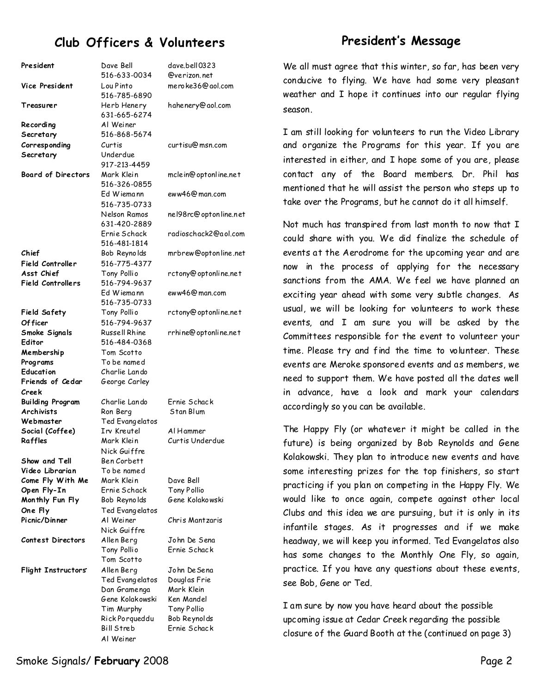# **Club Officers & Volunteers**

# **President's Message**

| President                      | Dave Bell<br>516-633-0034    | dave.bell 0323<br>@verizon.net |
|--------------------------------|------------------------------|--------------------------------|
| Vice President                 | Lou Pinto<br>516-785-6890    | mero ke36@aol.com              |
| Treasurer                      | Herb Henery<br>631-665-6274  | hahe nery@aol.com              |
| Recording                      | Al Weiner                    |                                |
| Secretary                      | 516-868-5674                 |                                |
| Corresponding                  | Curtis                       | curtisu@msn.com                |
| Secretary                      | Underdue                     |                                |
|                                | 917-213-4459                 |                                |
| <b>Board of Directors</b>      | Mark Klein                   | mclein@optonline.net           |
|                                | 516-326-0855                 |                                |
|                                | Ed Wiemann                   | eww46@man.com                  |
|                                |                              |                                |
|                                | 516-735-0733                 |                                |
|                                | Nelson Ramos                 | nel98rc@optonline.net          |
|                                | 631-420-2889                 |                                |
|                                | Ernie Schack                 | radioschack2@aol.com           |
|                                | 516-481-1814                 |                                |
| Chief                          | Bob Reynolds                 | mrbrew@optonline.net           |
| Field Controller               | 516-775-4377                 |                                |
| Asst Chief                     | Tony Pollio                  | rctony@optonline.net           |
| <b>Field Controllers</b>       | 516-794-9637                 |                                |
|                                | Ed Wiemann                   | eww46@man.com                  |
|                                | 516-735-0733                 |                                |
| <b>Field Safety</b>            | Tony Pollio                  | rctony@optonline.net           |
| Of ficer                       | 516-794-9637                 |                                |
| Smoke Signals                  | Russell Rhine                | rrhine@optonline.net           |
| Editor                         | 516-484-0368                 |                                |
| Membership                     | Tom Scotto                   |                                |
| Programs                       | To be named                  |                                |
| Education                      | Charlie Lando                |                                |
| Friends of Cedar               | George Carley                |                                |
| Creek                          |                              |                                |
| Building Program               | Charlie Lando                | Ernie Schack                   |
| <b>Archivists</b>              | Ron Berg                     | Stan Blum                      |
| Webmaster                      | Ted Evangelatos              |                                |
| Social (Coffee)                | Irv Kreutel                  | Al Hammer                      |
| Raffles                        | Mark Klein                   | Curtis Underdue                |
|                                | Nick Guiffre                 |                                |
| Show and Tell                  | Ben Corbett                  |                                |
| Video Librarian                | To be named<br>Mark Klein    | Dave Bell                      |
| Come Fly With Me               | Ernie Schack                 |                                |
| Open Fly-In<br>Monthly Fun Fly | Bob Reynolds                 | Tony Pollio<br>Gene Kolakowski |
|                                |                              |                                |
| One Fly<br>Picnic/Dinner       | Ted Evangelatos<br>Al Weiner | Chris Mantzaris                |
|                                | Nick Guiffre                 |                                |
| <b>Contest Directors</b>       | Allen Berg                   | John De Sena                   |
|                                | Tony Pollio                  | Ernie Schack                   |
|                                | Tom Scotto                   |                                |
| <b>Flight Instructors</b>      | Allen Berg                   | John De Sena                   |
|                                | Ted Evangelatos              | Douglas Frie                   |
|                                | Dan Gramenga                 | Mark Klein                     |
|                                | Gene Kolakowski              | Ken Mandel                     |
|                                | Tim Murphy                   | Tony Pollio                    |
|                                | Rick Porqueddu               | Bob Reynolds                   |
|                                | Bill Streb                   | Ernie Schack                   |
|                                | Al Weiner                    |                                |
|                                |                              |                                |

We all must agree that this winter, so far, has been very conducive to flying. We have had some very pleasant weather and I hope it continues into our regular flying season.

I am still looking for volunteers to run the Video Library and organize the Programs for this year. If you are interested in either, and I hope some of you are, please contact any of the Board members. Dr. Phil has mentioned that he will assist the person who steps up to take over the Programs, but he cannot do it all himself.

Not much has transpired from last month to now that I could share with you. We did finalize the schedule of events at the Aerodrome for the upcoming year and are now in the process of applying for the necessary sanctions from the AMA. We feel we have planned an exciting year ahead with some very subtle changes. As usual, we will be looking for volunteers to work these events, and I am sure you will be asked by the Committees responsible for the event to volunteer your time. Please try and find the time to volunteer. These events are Meroke sponsored events and as members, we need to support them. We have posted all the dates well in advance, have a look and mark your calendars accordingly so you can be available.

The Happy Fly (or whatever it might be called in the future) is being organized by Bob Reynolds and Gene Kolakowski. They plan to introduce new events and have some interesting prizes for the top finishers, so start practicing if you plan on competing in the Happy Fly. We would like to once again, compete against other local Clubs and this idea we are pursuing, but it is only in its infantile stages. As it progresses and if we make headway, we will keep you informed. Ted Evangelatos also has some changes to the Monthly One Fly, so again, practice. If you have any questions about these events, see Bob, Gene or Ted.

I am sure by now you have heard about the possible upcoming issue at Cedar Creek regarding the possible closure of the Guard Boothat the(continued on page 3)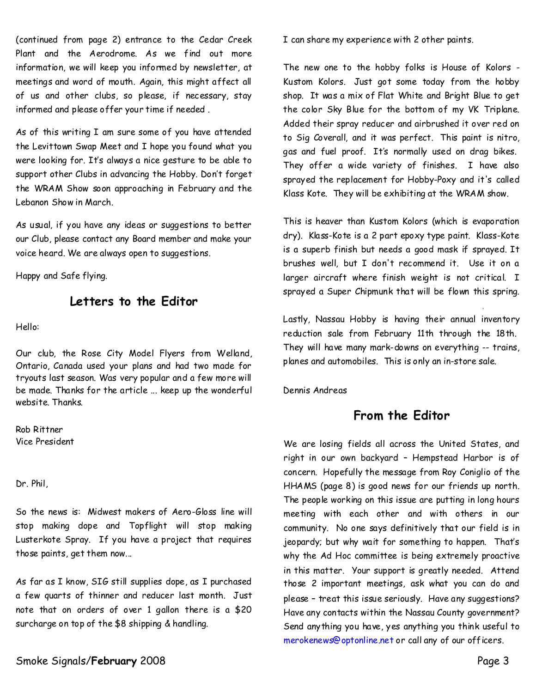(continued from page 2) entrance to the Cedar Creek Plant and the Aerodrome. As we find out more information, we will keep you informed by newsletter, at meetings and word of mouth. Again, this might affect all of us and other clubs, so please, if necessary, stay informed and please offer your time if needed .

As of this writing I am sure some of you have attended the Levittown Swap Meet and I hope you found what you were looking for. It's always a nice gesture to be able to support other Clubs in advancing the Hobby. Don't forget the WRAM Show soon approaching in February and the Lebanon Show in March.

As usual, if you have any ideas or suggestions to better our Club, please contact any Board member and make your voice heard. We are always open to suggestions.

Happy and Safe flying.

## **Letters to the Editor**

Hello:

Our club, the Rose City Model Flyers from Welland, Ontario, Canada used your plans and had two made for tryouts last season. Was very popular and a few more will be made. Thanks for the article ... keep up the wonderful website. Thanks.

Rob Rittner Vice President

Dr.Phil,

So the news is: Midwest makers of Aero-Gloss line will stop making dope and Topflight will stop making Lusterkote Spray. If you have a project that requires those paints, get them now...

As far as I know, SIG still supplies dope, as I purchased a few quarts of thinner and reducer last month. Just note that on orders of over 1 gallon there is a \$20 surcharge on top of the \$8 shipping & handling.

I can share my experience with 2 other paints.

The new one to the hobby folks is House of Kolors -Kustom Kolors. Just got some today from the hobby shop. It was a mix of Flat White and Bright Blue to get the color Sky Blue for the bottom of my VK Triplane. Added their spray reducer and airbrushed it over red on to Sig Coverall, and it was perfect. This paint is nitro, gas and fuel proof. It's normally used on drag bikes. They offer a wide variety of finishes. I have also sprayed the replacement for Hobby-Poxy and it's called Klass Kote. They will be exhibiting at the WRAM show.

This is heaver than Kustom Kolors (which is evaporation dry). Klass-Kote is a 2 part epoxy type paint. Klass-Kote is a superb finish but needs a good mask if sprayed. It brushes well, but I don't recommend it. Use it on a larger aircraft where finish weight is not critical. I sprayed a Super Chipmunk that will be flown this spring.

Lastly, Nassau Hobby is having their annual inventory reduction sale from February 11th through the 18th. They will have many mark-downs on everything -- trains, planes and automobiles. This is only an in-store sale.

Dennis Andreas

# **From the Editor**

We are losing fields all across the United States, and right in our own backyard - Hempstead Harbor is of concern. Hopefully the message from Roy Coniglio of the HHAMS (page 8) is good news for our friends up north. The people working on this issue are putting in long hours meeting with each other and with others in our community. No one says definitively that our field is in jeopardy; but why wait for something to happen. That's why the Ad Hoc committee is being extremely proactive in this matter. Your support is greatly needed. Attend those 2important meetings, ask what you can do and please - treat this issue seriously. Have any suggestions? Have any contacts within the Nassau County government? Send anything you have, yes anything you think useful to merokenews@optonline.net or call any of our officers.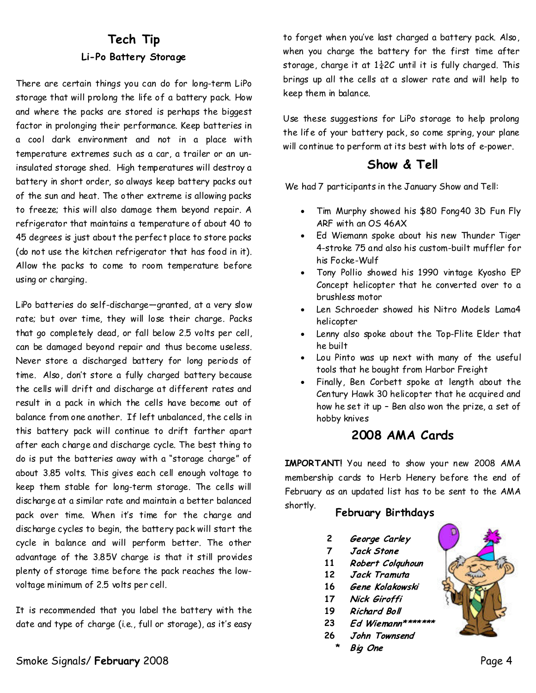# **Tech Tip** Li-Po Battery Storage

There are certain things you can do for long-term LiPo storage that will prolong the life of a battery pack. How and where the packs are stored is perhaps the biggest factor in prolonging their performance. Keep batteries in a cool dark environment and not in a place with temperature extremes such as a car, a trailer or an un insulated storage shed. High temperatures will destroy a battery in short order, so always keep battery packs out of the sun and heat. The other extreme is allowing packs to freeze; this will also damage them beyond repair. A refrigerator that maintains a temperature of about 40 to 45 degrees is just about the perfect place to store packs (do not use the kitchen refrigerator that has food in it). Allow the packs to come to room temperature before using or charging.

LiPo batteries do self-discharge—granted, at a very slow rate; but over time, they will lose their charge. Packs that go completely dead, or fall below 2.5 volts per cell, can be damaged beyond repair and thus become useless. Never store a discharged battery for long periods of time. Also, don't store a fully charged battery because the cells will drift and discharge at different rates and result in a pack in which the cells have become out of balance from one another. If left unbalanced, the cells in this battery pack will continue to drift farther apart after each charge and discharge cycle. The best thing to do is put the batteries away with a "storage charge" of about 3.85 volts. This gives each cell enough voltage to keep them stable for long-term storage. The cells will discharge at a similar rate and maintain a better balanced pack over time. When it's time for the charge and discharge cycles to begin, the battery pack will start the cycle in balance and will perform better. The other advantage of the 3.85V charge is that it still provides plenty of storage time before the pack reaches the low voltage minimum of 2.5 volts percell.

It is recommended that you label the battery with the date and type of charge (i.e., full or storage), as it's easy

to forget when you've last charged a battery pack. Also, when you charge the battery for the first time after storage, charge it at  $1\frac{1}{4}$ 2C until it is fully charged. This brings up all the cells at a slower rate and will help to keep them in balance.

Use these suggestions for LiPo storage to help prolong the life of your battery pack, so come spring, your plane will continue to perform at its best with lots of e-power.

# **Show & Tell**

We had 7 participants in the January Show and Tell:

- · Tim Murphy showed his \$80 Fong40 3D Fun Fly ARF with an OS 46AX
- · Ed Wiemann spoke about his new Thunder Tiger 4-stroke 75 and also his custom-built muffler for his Focke-Wulf
- · Tony Pollio showed his 1990 vintage Kyosho EP Concept helicopter that he converted over to a brushless motor
- Len Schroeder showed his Nitro Models Lama4 helicopter
- · Lenny alsospoke about the Top-Flite Elder that he built
- · Lou Pinto was up next with many of the useful tools that he bought from Harbor Freight
- · Finally, Ben Corbett spoke at length about the Century Hawk 30 helicopter that he acquired and how he set it up - Ben also won the prize, a set of hobby knives

# **2008 AMA Cards**

**IMPORTANT!**You need to show your new 2008 AMA membership cards to Herb Henerybefore the end of February as an updated list has to be sent to the AMA

# shortly. **February Birthdays**

- **2** George Carley
- **7** Jack Stone
- **11** Robert Colauhoun
- **12** Jack Tramuta
- Gene Kolakowski **16**
- **17** Nick Giroffi
- **19 Richard Boll**
- Ed Wiemann\*\*\*\*\*\*\*\* **23**
- **26** John Townsend
	- Big One **\***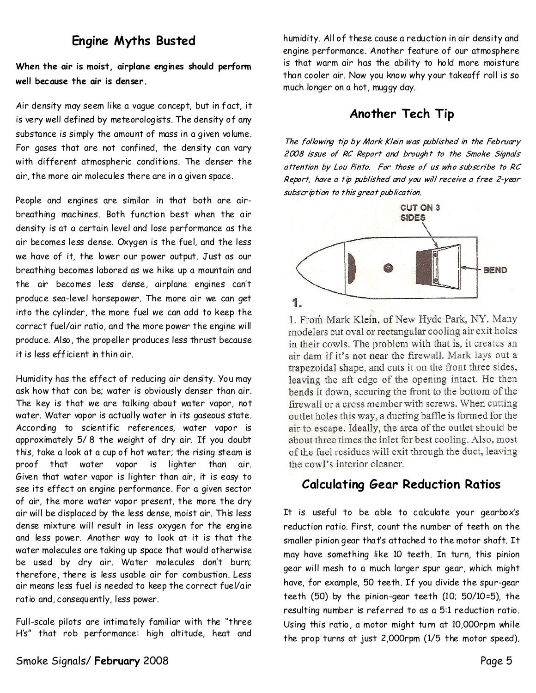# **Engine Myths Busted**

**When the air is moist, airplane engines should perform well because the air is denser.**

Air density may seem like a vague concept, but in fact, it is verywell defined by meteorologists. The density of any substance is simply the amount of mass in a given volume. For gases that are not confined, the density can vary with different atmospheric conditions. The denser the air, the more air molecules there are in a given space.

People and engines are similar in that both are air breathing machines. Both function best when the air density is at a certain level and lose performance as the air becomes less dense. Oxygen is the fuel, and the less we have of it, the lower our power output. Just as our breathing becomes labored as we hike up a mountain and the air becomes less dense, airplane engines can't produce sea-level horsepower. The more air we can get into the cylinder, the more fuel we can add to keep the correct fuel/air ratio, and the more power the engine will produce. Also, the propeller produces less thrust because it is less efficient in thin air.

Humidity has the effect of reducing air density. You may ask how that can be; water is obviously denser than air. The key is that we are talking about water vapor, not water. Water vapor is actually water in its gaseous state. According to scientific references, water vapor is approximately 5/ 8 the weight of dry air. If you doubt this, take a look at a cup of hot water; the rising steam is proof that water vapor is lighter than air. Given that water vapor is lighter than air, it is easy to see its effect on engine performance. For a given sector of air, the more water vapor present, the more the dry air will be displaced by the less dense, moist air. This less dense mixture will result in less oxygen for the engine and less power. Another way to look at it is that the water molecules are taking up space that would otherwise be used by dry air. Water molecules don't burn; therefore, there is less usable air for combustion. Less air means less fuel is needed to keep the correct fuel/air ratio and, consequently, less power.

Full-scale pilots are intimately familiar with the "three H's" that rob performance: high altitude, heat and

humidity. All of these cause a reduction in air density and engine performance. Another feature of our atmosphere is that warm air has the ability to hold more moisture than cooler air. Now you know why your takeoff roll is so much longer on a hot, muggy day.

## **Another Tech Tip**

The following tip by Mark Klein was published in the February 2008 issue of RC Report and brought to the Smoke Signals attention by Lou Pinto. For those of us who subscribe to RC Report, have a tip published and you will receive a free 2-year subscription to this great publication.



1. From Mark Klein, of New Hyde Park, NY. Many modelers cut oval or rectangular cooling air exit holes in their cowls. The problem with that is, it creates an air dam if it's not near the firewall. Mark lays out a trapezoidal shape, and cuts it on the front three sides, leaving the aft edge of the opening intact. He then bends it down, securing the front to the bottom of the firewall or a cross member with screws. When cutting outlet holes this way, a ducting baffle is formed for the air to escape. Ideally, the area of the outlet should be about three times the inlet for best cooling. Also, most of the fuel residues will exit through the duct, leaving the cowl's interior cleaner.

# **Calculating Gear Reduction Ratios**

It is useful to be able to calculate your gearbox's reduction ratio. First, count the number of teeth on the smaller pinion gear that's attached to the motor shaft. It may have something like 10 teeth. In turn, this pinion gear will mesh to a much larger spur gear, which might have, for example, 50 teeth. If you divide the spur-gear teeth (50) by the pinion-gear teeth (10; 50/10=5), the resulting number is referred to as a 5:1 reduction ratio. Using this ratio, a motor might turn at 10,000rpm while the prop turns at just 2,000rpm (1/5 the motor speed).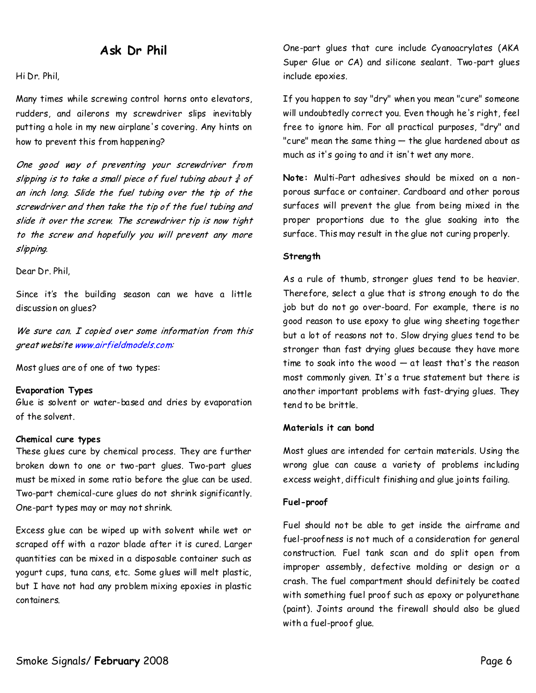### **Ask Dr Phil**

#### Hi Dr. Phil,

Many times while screwing control horns onto elevators, rudders, and ailerons my screwdriver slips inevitably putting a hole in my new airplane's covering. Any hints on how to prevent this from happening?

One good way of preventing your screwdriver from slipping is to take a small piece of fuel tubing about  $\frac{3}{4}$  of an inch long. Slide the fuel tubing over the tip of the screwdriver and then take the tip of the fuel tubing and slide it over the screw. The screwdriver tip is now tight to the screw and hopefully you will prevent any more slipping.

Dear Dr. Phil,

Since it's the building season can we have a little discussion on glues?

We sure can. I copied over some information from this great website www.airfieldmodels.com:

Most glues are of one of two types:

#### **Evaporation Types**

Glue is solvent or water-based and dries by evaporation of the solvent.

#### **Chemical cure types**

These glues cure by chemical process. They are further broken down to one or two-part glues. Two-part glues must be mixed in some ratio before the glue can be used. Two-part chemical-cure glues do not shrink significantly. One-part types may or may not shrink.

Excess glue can be wiped up with solvent while wet or scraped off with a razor blade after it is cured. Larger quantities can be mixed in a disposable container such as yogurt cups, tuna cans, etc. Some glues will melt plastic, but I have not had any problem mixing epoxies in plastic containers.

One-part glues that cure include Cyanoacrylates (AKA Super Glue or CA) and silicone sealant. Two-part glues include epoxies.

If you happen to say "dry" when you mean "cure" someone will undoubtedly correct you. Even though he's right, feel free to ignore him. For all practical purposes, "dry" and "cure" mean the same thing  $-$  the glue hardened about as much as it's going to and it isn't wet any more.

**Note:** Multi-Part adhesives should be mixed on a non porous surface or container. Cardboard and other porous surfaces will prevent the glue from being mixed in the proper proportions due to the glue soaking into the surface. This may result in the glue not curing properly.

#### **Strength**

As a rule of thumb, stronger glues tend to be heavier. Therefore, select a glue that is strong enough to do the job but do not go over-board. For example, there is no good reason to use epoxy to glue wing sheeting together but a lot of reasons not to. Slow drying glues tend to be stronger than fast drying glues because they have more time to soak into the wood—at least that's the reason most commonly given. It's a true statement but there is another important problems with fast-drying glues. They tend to be brittle.

#### **Materials it can bond**

Most glues are intended for certain materials. Using the wrong glue can cause a variety of problems including excess weight, difficult finishingand glue joints failing.

#### **Fuel-proof**

Fuel should not be able to get inside the airframe and fuel-proofness is not much of a consideration for general construction. Fuel tank scan and do split open from improper assembly, defective molding or design or a crash. The fuel compartment should definitely be coated with something fuel proof such as epoxy or polyurethane (paint). Joints around the firewall should also be glued with a fuel-proof glue.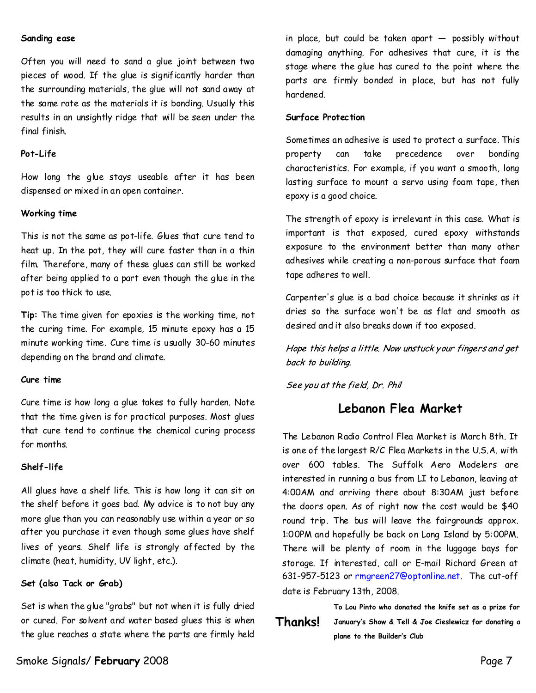#### **Sanding ease**

Often you will need to sand a glue joint between two pieces of wood. If the glue is significantly harder than the surrounding materials, the glue will not sand away at the same rate as the materials it is bonding. Usually this results in an unsightly ridge that will be seen under the final finish.

#### **Pot-Life**

How long the glue stays useable after it has been dispensed or mixed in an open container.

#### **Working time**

This is not the same as pot-life. Glues that cure tend to heat up. In the pot, they will cure faster than in a thin film. Therefore, many of these glues can still be worked after being applied to a part even though the glue in the pot is too thick to use.

**Tip:**The time given for epoxies is the working time, not the curing time. For example, 15 minute epoxy has a 15 minute working time. Cure time is usually 30-60 minutes depending on the brand and climate.

#### **Cure time**

Cure time is how long aglue takes to fully harden. Note that the time given is for practical purposes. Most glues that cure tend to continue the chemical curing process for months.

#### **Shelf-life**

All glues have a shelf life. This is how long it can sit on the shelf before it goes bad. My advice is to not buy any more glue than you can reasonably use within a year or so after you purchase it even though some glues have shelf lives of years. Shelf life is strongly affected by the climate (heat, humidity, UV light, etc.).

#### **Set (also Tack or Grab)**

Set is when the glue "grabs" but not when it is fully dried or cured. For solvent and water based glues this is when the glue reaches a state where the parts are firmly held

in place, but could be taken apart**—** possibly without damaging anything. For adhesives that cure, it is the stage where the glue has cured to the point where the parts are firmly bonded in place, but has not fully hardened.

#### **Surface Protection**

Sometimes an adhesive is used to protect a surface. This property can take precedence over bonding characteristics. For example, if you want a smooth, long lasting surface to mount a servo using foam tape, then epoxy is a good choice.

The strength of epoxy is irrelevant in this case. What is important is that exposed, cured epoxy withstands exposure to the environment better than many other adhesives while creating a non-porous surface that foam tape adheres to well.

Carpenter's glue is a bad choice because it shrinks as it dries so the surface won't be as flat and smooth as desired and it also breaks down if too exposed.

Hope this helps a little. Now unstuck your fingers and get back to building.

See you at the field, Dr. Phil

## **Lebanon Flea Market**

The Lebanon Radio Control Flea Market is March 8th. It is one of the largest R/C Flea Markets in the U.S.A. with over 600 tables. The Suffolk Aero Modelers are interested in running a bus from LI to Lebanon, leaving at 4:00AM and arriving there about 8:30AM just before the doors open. As of right now the cost would be  $$40$ round trip. The bus will leave the fairgrounds approx. 1:00PM and hopefully be back on Long Island by 5:00PM. There will be plenty of room in the luggage bays for storage. If interested, call or E-mail Richard Green at 631-957-5123 or rmgreen27@optonline.net. The cut-off date is February 13th, 2008.

**Thanks!**

**To Lou Pinto who donated the knife set as a prize for January's Show & Tell & Joe Cieslewicz for donating a plane to the Builder's Club**